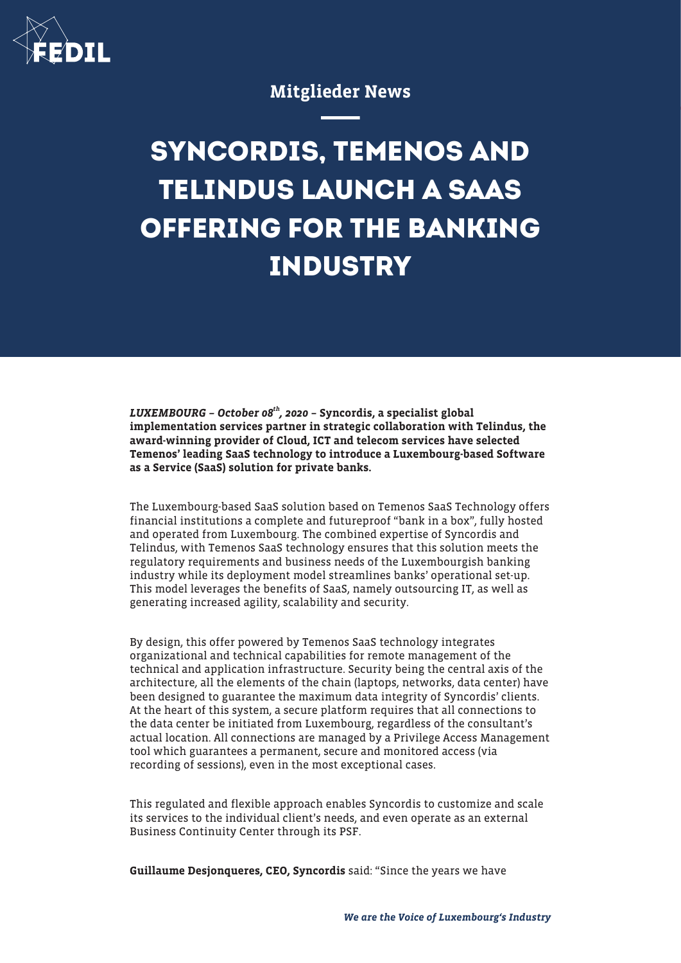

## Mitglieder News

# **SYNCORDIS, TEMENOS AND TELINDUS LAUNCH A SAAS OFFERING FOR THE BANKING INDUSTRY**

LUXEMBOURG - October  $08^{th}$ , 2020 - Syncordis, a specialist global implementation services partner in strategic collaboration with Telindus, the award-winning provider of Cloud, ICT and telecom services have selected Temenos' leading SaaS technology to introduce a Luxembourg-based Software as a Service (SaaS) solution for private banks.

The Luxembourg-based SaaS solution based on Temenos SaaS Technology offers financial institutions a complete and futureproof "bank in a box", fully hosted and operated from Luxembourg. The combined expertise of Syncordis and Telindus, with Temenos SaaS technology ensures that this solution meets the regulatory requirements and business needs of the Luxembourgish banking industry while its deployment model streamlines banks' operational set-up. This model leverages the benefits of SaaS, namely outsourcing IT, as well as generating increased agility, scalability and security.

By design, this offer powered by Temenos SaaS technology integrates organizational and technical capabilities for remote management of the technical and application infrastructure. Security being the central axis of the architecture, all the elements of the chain (laptops, networks, data center) have been designed to guarantee the maximum data integrity of Syncordis' clients. At the heart of this system, a secure platform requires that all connections to the data center be initiated from Luxembourg, regardless of the consultant's actual location. All connections are managed by a Privilege Access Management tool which guarantees a permanent, secure and monitored access (via recording of sessions), even in the most exceptional cases.

This regulated and flexible approach enables Syncordis to customize and scale its services to the individual client's needs, and even operate as an external Business Continuity Center through its PSF.

Guillaume Desjonqueres, CEO, Syncordis said: "Since the years we have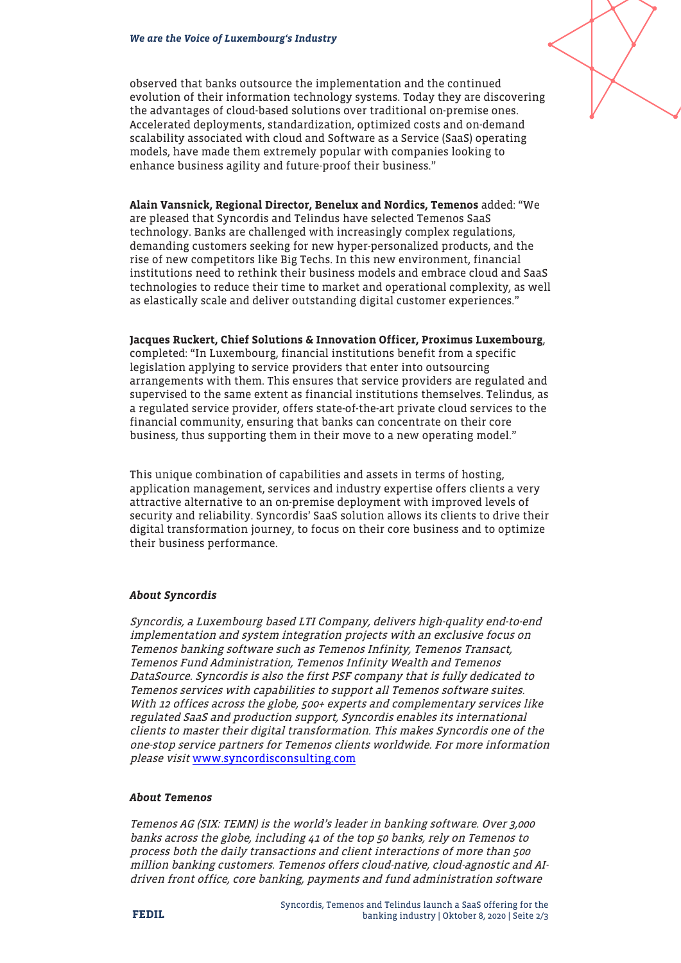observed that banks outsource the implementation and the continued evolution of their information technology systems. Today they are discovering the advantages of cloud-based solutions over traditional on-premise ones. Accelerated deployments, standardization, optimized costs and on-demand scalability associated with cloud and Software as a Service (SaaS) operating models, have made them extremely popular with companies looking to enhance business agility and future-proof their business."

Alain Vansnick, Regional Director, Benelux and Nordics, Temenos added: "We are pleased that Syncordis and Telindus have selected Temenos SaaS technology. Banks are challenged with increasingly complex regulations, demanding customers seeking for new hyper-personalized products, and the rise of new competitors like Big Techs. In this new environment, financial institutions need to rethink their business models and embrace cloud and SaaS technologies to reduce their time to market and operational complexity, as well as elastically scale and deliver outstanding digital customer experiences."

Jacques Ruckert, Chief Solutions & Innovation Officer, Proximus Luxembourg, completed: "In Luxembourg, financial institutions benefit from a specific legislation applying to service providers that enter into outsourcing arrangements with them. This ensures that service providers are regulated and supervised to the same extent as financial institutions themselves. Telindus, as a regulated service provider, offers state-of-the-art private cloud services to the financial community, ensuring that banks can concentrate on their core business, thus supporting them in their move to a new operating model."

This unique combination of capabilities and assets in terms of hosting, application management, services and industry expertise offers clients a very attractive alternative to an on-premise deployment with improved levels of security and reliability. Syncordis' SaaS solution allows its clients to drive their digital transformation journey, to focus on their core business and to optimize their business performance.

#### About Syncordis

Syncordis, a Luxembourg based LTI Company, delivers high-quality end-to-end implementation and system integration projects with an exclusive focus on Temenos banking software such as Temenos Infinity, Temenos Transact, Temenos Fund Administration, Temenos Infinity Wealth and Temenos DataSource. Syncordis is also the first PSF company that is fully dedicated to Temenos services with capabilities to support all Temenos software suites. With 12 offices across the globe, 500+ experts and complementary services like regulated SaaS and production support, Syncordis enables its international clients to master their digital transformation. This makes Syncordis one of the one-stop service partners for Temenos clients worldwide. For more information please visit [www.syncordisconsulting.com](http://www.syncordisconsulting.com)

#### About Temenos

Temenos AG (SIX: TEMN) is the world's leader in banking software. Over 3,000 banks across the globe, including 41 of the top 50 banks, rely on Temenos to process both the daily transactions and client interactions of more than 500 million banking customers. Temenos offers cloud-native, cloud-agnostic and AIdriven front office, core banking, payments and fund administration software